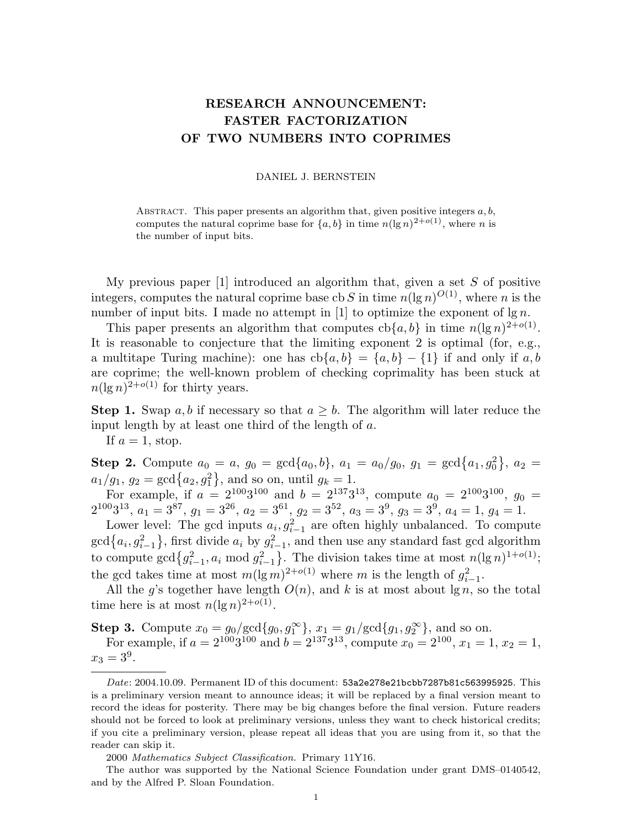## RESEARCH ANNOUNCEMENT: FASTER FACTORIZATION OF TWO NUMBERS INTO COPRIMES

## DANIEL J. BERNSTEIN

ABSTRACT. This paper presents an algorithm that, given positive integers  $a, b$ , computes the natural coprime base for  $\{a, b\}$  in time  $n(\lg n)^{2+o(1)}$ , where n is the number of input bits.

My previous paper  $[1]$  introduced an algorithm that, given a set S of positive integers, computes the natural coprime base cb S in time  $n(\lg n)^{O(1)}$ , where n is the number of input bits. I made no attempt in [1] to optimize the exponent of  $\lg n$ .

This paper presents an algorithm that computes  $\text{cb}\{a, b\}$  in time  $n(\lg n)^{2+o(1)}$ . It is reasonable to conjecture that the limiting exponent 2 is optimal (for, e.g., a multitape Turing machine): one has  $cb{a,b} = {a,b} - {1}$  if and only if a, b are coprime; the well-known problem of checking coprimality has been stuck at  $n(\lg n)^{2+o(1)}$  for thirty years.

**Step 1.** Swap a, b if necessary so that  $a \geq b$ . The algorithm will later reduce the input length by at least one third of the length of a.

If  $a=1$ , stop.

**Step 2.** Compute  $a_0 = a$ ,  $g_0 = \text{gcd}\{a_0, b\}$ ,  $a_1 = a_0/g_0$ ,  $g_1 = \text{gcd}\{a_1, g_0^2\}$ ,  $a_2 =$  $a_1/g_1, g_2 = \gcd\{a_2, g_1^2\}, \text{ and so on, until } g_k = 1.$ 

For example, if  $a = 2^{100}3^{100}$  and  $b = 2^{137}3^{13}$ , compute  $a_0 = 2^{100}3^{100}$ ,  $g_0 =$  $2^{100}3^{13}, a_1 = 3^{87}, g_1 = 3^{26}, a_2 = 3^{61}, g_2 = 3^{52}, a_3 = 3^9, g_3 = 3^9, a_4 = 1, g_4 = 1.$ 

Lower level: The gcd inputs  $a_i, g_{i-1}^2$  are often highly unbalanced. To compute  $\gcd\{a_i, g_{i-1}^2\}$ , first divide  $a_i$  by  $g_{i-1}^2$ , and then use any standard fast gcd algorithm to compute  $\gcd\{g_{i-1}^2, a_i \mod g_{i-1}^2\}$ . The division takes time at most  $n(\lg n)^{1+o(1)}$ ; the gcd takes time at most  $m(\lg m)^{2+o(1)}$  where m is the length of  $g_{i-1}^2$ .

All the g's together have length  $O(n)$ , and k is at most about lg n, so the total time here is at most  $n(\lg n)^{2+o(1)}$ .

**Step 3.** Compute  $x_0 = g_0/\text{gcd}\{g_0, g_1^{\infty}\}, x_1 = g_1/\text{gcd}\{g_1, g_2^{\infty}\},$  and so on.

For example, if  $a = 2^{100}3^{100}$  and  $b = 2^{137}3^{13}$ , compute  $x_0 = 2^{100}$ ,  $x_1 = 1$ ,  $x_2 = 1$ ,  $x_3 = 3^9.$ 

2000 Mathematics Subject Classification. Primary 11Y16.

Date: 2004.10.09. Permanent ID of this document: 53a2e278e21bcbb7287b81c563995925. This is a preliminary version meant to announce ideas; it will be replaced by a final version meant to record the ideas for posterity. There may be big changes before the final version. Future readers should not be forced to look at preliminary versions, unless they want to check historical credits; if you cite a preliminary version, please repeat all ideas that you are using from it, so that the reader can skip it.

The author was supported by the National Science Foundation under grant DMS–0140542, and by the Alfred P. Sloan Foundation.